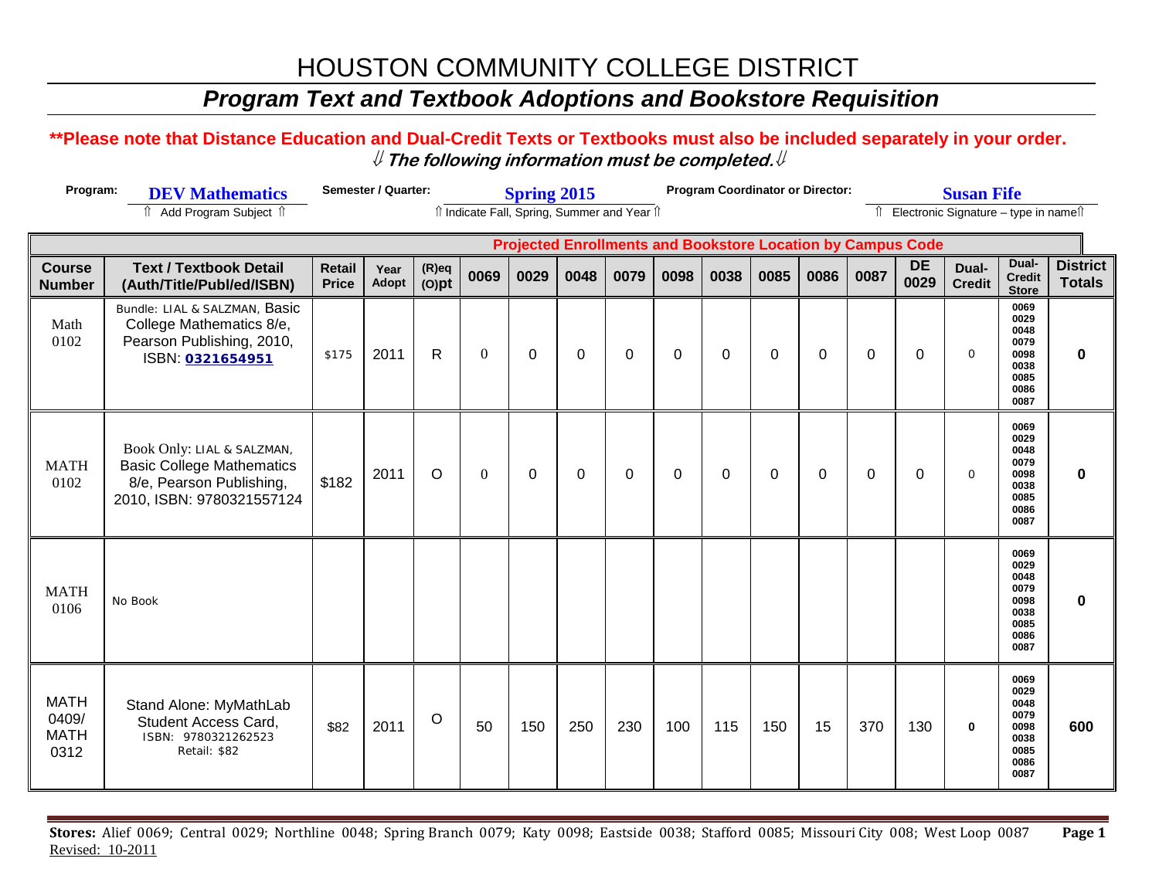# HOUSTON COMMUNITY COLLEGE DISTRICT

### *Program Text and Textbook Adoptions and Bookstore Requisition*

#### **\*\*Please note that Distance Education and Dual-Credit Texts or Textbooks must also be included separately in your order.**  ⇓ **The following information must be completed.**⇓

| Program:                                                           | <b>DEV Mathematics</b>                                                                                                  |                        | Semester / Quarter: |                      | <b>Spring 2015</b> |             |          |          |             | <b>Program Coordinator or Director:</b> |                                            |             |          | <b>Susan Fife</b> |                        |                                                                      |                                  |  |  |
|--------------------------------------------------------------------|-------------------------------------------------------------------------------------------------------------------------|------------------------|---------------------|----------------------|--------------------|-------------|----------|----------|-------------|-----------------------------------------|--------------------------------------------|-------------|----------|-------------------|------------------------|----------------------------------------------------------------------|----------------------------------|--|--|
|                                                                    | îl Indicate Fall, Spring, Summer and Year îl                                                                            |                        |                     |                      |                    |             |          |          |             |                                         | Electronic Signature - type in namest<br>⇑ |             |          |                   |                        |                                                                      |                                  |  |  |
| <b>Projected Enrollments and Bookstore Location by Campus Code</b> |                                                                                                                         |                        |                     |                      |                    |             |          |          |             |                                         |                                            |             |          |                   |                        |                                                                      |                                  |  |  |
| <b>Course</b><br><b>Number</b>                                     | <b>Text / Textbook Detail</b><br>(Auth/Title/Publ/ed/ISBN)                                                              | Retail<br><b>Price</b> | Year<br>Adopt       | $(R)$ eq<br>$(O)$ pt | 0069               | 0029        | 0048     | 0079     | 0098        | 0038                                    | 0085                                       | 0086        | 0087     | <b>DE</b><br>0029 | Dual-<br><b>Credit</b> | Dual-<br><b>Credit</b><br><b>Store</b>                               | <b>District</b><br><b>Totals</b> |  |  |
| Math<br>0102                                                       | Bundle: LIAL & SALZMAN, Basic<br>College Mathematics 8/e,<br>Pearson Publishing, 2010,<br>ISBN: 0321654951              | \$175                  | 2011                | R.                   | $\Omega$           | $\mathbf 0$ | $\Omega$ | $\Omega$ | $\mathbf 0$ | $\Omega$                                | $\mathbf{0}$                               | 0           | $\Omega$ | $\Omega$          | $\mathbf 0$            | 0069<br>0029<br>0048<br>0079<br>0098<br>0038<br>0085<br>0086<br>0087 | 0                                |  |  |
| <b>MATH</b><br>0102                                                | Book Only: LIAL & SALZMAN,<br><b>Basic College Mathematics</b><br>8/e, Pearson Publishing,<br>2010, ISBN: 9780321557124 | \$182                  | 2011                | $\circ$              | $\mathbf{0}$       | $\mathbf 0$ | 0        | 0        | $\mathbf 0$ | 0                                       | 0                                          | $\mathbf 0$ | 0        | 0                 | $\mathbf 0$            | 0069<br>0029<br>0048<br>0079<br>0098<br>0038<br>0085<br>0086<br>0087 | $\mathbf 0$                      |  |  |
| <b>MATH</b><br>0106                                                | No Book                                                                                                                 |                        |                     |                      |                    |             |          |          |             |                                         |                                            |             |          |                   |                        | 0069<br>0029<br>0048<br>0079<br>0098<br>0038<br>0085<br>0086<br>0087 | 0                                |  |  |
| <b>MATH</b><br>0409/<br><b>MATH</b><br>0312                        | Stand Alone: MyMathLab<br><b>Student Access Card.</b><br>ISBN: 9780321262523<br>Retail: \$82                            | \$82                   | 2011                | $\circ$              | 50                 | 150         | 250      | 230      | 100         | 115                                     | 150                                        | 15          | 370      | 130               | $\mathbf 0$            | 0069<br>0029<br>0048<br>0079<br>0098<br>0038<br>0085<br>0086<br>0087 | 600                              |  |  |